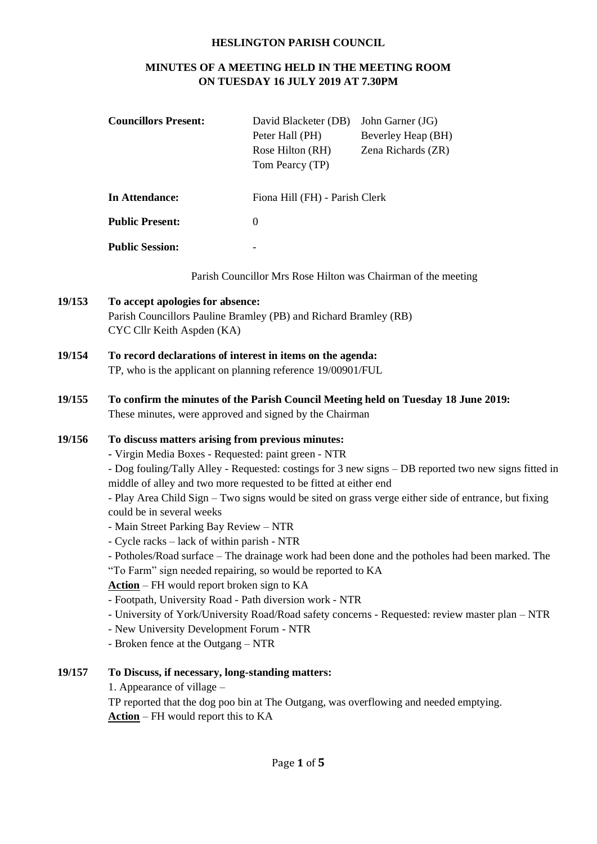## **HESLINGTON PARISH COUNCIL**

# **MINUTES OF A MEETING HELD IN THE MEETING ROOM ON TUESDAY 16 JULY 2019 AT 7.30PM**

| <b>Councillors Present:</b>                                                                                                                                                                                                                                                                                                                                                                                                                                                                                                                                                                                                                                                                                                                                                                                                                                                                                                                      | David Blacketer (DB)<br>Peter Hall (PH)<br>Rose Hilton (RH)<br>Tom Pearcy (TP) | John Garner (JG)<br>Beverley Heap (BH)<br>Zena Richards (ZR)                                    |
|--------------------------------------------------------------------------------------------------------------------------------------------------------------------------------------------------------------------------------------------------------------------------------------------------------------------------------------------------------------------------------------------------------------------------------------------------------------------------------------------------------------------------------------------------------------------------------------------------------------------------------------------------------------------------------------------------------------------------------------------------------------------------------------------------------------------------------------------------------------------------------------------------------------------------------------------------|--------------------------------------------------------------------------------|-------------------------------------------------------------------------------------------------|
| <b>In Attendance:</b>                                                                                                                                                                                                                                                                                                                                                                                                                                                                                                                                                                                                                                                                                                                                                                                                                                                                                                                            |                                                                                |                                                                                                 |
| <b>Public Present:</b>                                                                                                                                                                                                                                                                                                                                                                                                                                                                                                                                                                                                                                                                                                                                                                                                                                                                                                                           | $\boldsymbol{0}$                                                               |                                                                                                 |
| <b>Public Session:</b>                                                                                                                                                                                                                                                                                                                                                                                                                                                                                                                                                                                                                                                                                                                                                                                                                                                                                                                           |                                                                                |                                                                                                 |
|                                                                                                                                                                                                                                                                                                                                                                                                                                                                                                                                                                                                                                                                                                                                                                                                                                                                                                                                                  |                                                                                |                                                                                                 |
| To accept apologies for absence:<br>Parish Councillors Pauline Bramley (PB) and Richard Bramley (RB)<br>CYC Cllr Keith Aspden (KA)                                                                                                                                                                                                                                                                                                                                                                                                                                                                                                                                                                                                                                                                                                                                                                                                               |                                                                                |                                                                                                 |
| To record declarations of interest in items on the agenda:<br>TP, who is the applicant on planning reference 19/00901/FUL                                                                                                                                                                                                                                                                                                                                                                                                                                                                                                                                                                                                                                                                                                                                                                                                                        |                                                                                |                                                                                                 |
| To confirm the minutes of the Parish Council Meeting held on Tuesday 18 June 2019:<br>These minutes, were approved and signed by the Chairman                                                                                                                                                                                                                                                                                                                                                                                                                                                                                                                                                                                                                                                                                                                                                                                                    |                                                                                |                                                                                                 |
| To discuss matters arising from previous minutes:<br>- Virgin Media Boxes - Requested: paint green - NTR<br>- Dog fouling/Tally Alley - Requested: costings for 3 new signs - DB reported two new signs fitted in<br>middle of alley and two more requested to be fitted at either end<br>- Play Area Child Sign – Two signs would be sited on grass verge either side of entrance, but fixing<br>could be in several weeks<br>- Main Street Parking Bay Review - NTR<br>- Cycle racks – lack of within parish - NTR<br>- Potholes/Road surface – The drainage work had been done and the potholes had been marked. The<br>"To Farm" sign needed repairing, so would be reported to KA<br>$Action$ – FH would report broken sign to KA<br>- Footpath, University Road - Path diversion work - NTR<br>- University of York/University Road/Road safety concerns - Requested: review master plan - NTR<br>- New University Development Forum - NTR |                                                                                |                                                                                                 |
|                                                                                                                                                                                                                                                                                                                                                                                                                                                                                                                                                                                                                                                                                                                                                                                                                                                                                                                                                  |                                                                                | Fiona Hill (FH) - Parish Clerk<br>Parish Councillor Mrs Rose Hilton was Chairman of the meeting |

- Broken fence at the Outgang – NTR

## **19/157 To Discuss, if necessary, long-standing matters:**

1. Appearance of village –

**19/153** 

TP reported that the dog poo bin at The Outgang, was overflowing and needed emptying. **Action** – FH would report this to KA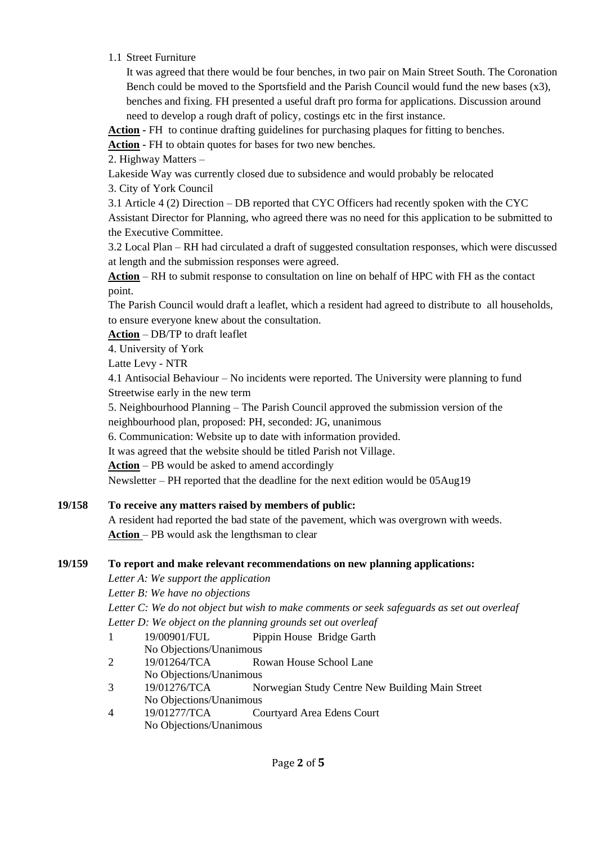1.1 Street Furniture

It was agreed that there would be four benches, in two pair on Main Street South. The Coronation Bench could be moved to the Sportsfield and the Parish Council would fund the new bases  $(x3)$ , benches and fixing. FH presented a useful draft pro forma for applications. Discussion around need to develop a rough draft of policy, costings etc in the first instance.

**Action -** FH to continue drafting guidelines for purchasing plaques for fitting to benches.

**Action -** FH to obtain quotes for bases for two new benches.

2. Highway Matters –

Lakeside Way was currently closed due to subsidence and would probably be relocated

3. City of York Council

3.1 Article 4 (2) Direction – DB reported that CYC Officers had recently spoken with the CYC Assistant Director for Planning, who agreed there was no need for this application to be submitted to the Executive Committee.

3.2 Local Plan – RH had circulated a draft of suggested consultation responses, which were discussed at length and the submission responses were agreed.

**Action** – RH to submit response to consultation on line on behalf of HPC with FH as the contact point.

The Parish Council would draft a leaflet, which a resident had agreed to distribute to all households, to ensure everyone knew about the consultation.

**Action** – DB/TP to draft leaflet

4. University of York

Latte Levy - NTR

4.1 Antisocial Behaviour – No incidents were reported. The University were planning to fund Streetwise early in the new term

5. Neighbourhood Planning – The Parish Council approved the submission version of the neighbourhood plan, proposed: PH, seconded: JG, unanimous

6. Communication: Website up to date with information provided.

It was agreed that the website should be titled Parish not Village.

**Action** – PB would be asked to amend accordingly

Newsletter – PH reported that the deadline for the next edition would be 05Aug19

## **19/158 To receive any matters raised by members of public:**

A resident had reported the bad state of the pavement, which was overgrown with weeds. **Action** – PB would ask the lengthsman to clear

## **19/159 To report and make relevant recommendations on new planning applications:**

*Letter A: We support the application*

*Letter B: We have no objections*

*Letter C: We do not object but wish to make comments or seek safeguards as set out overleaf Letter D: We object on the planning grounds set out overleaf*

- 1 19/00901/FUL Pippin House Bridge Garth No Objections/Unanimous
- 2 19/01264/TCA Rowan House School Lane No Objections/Unanimous
- 3 19/01276/TCA Norwegian Study Centre New Building Main Street No Objections/Unanimous
- 4 19/01277/TCA Courtyard Area Edens Court No Objections/Unanimous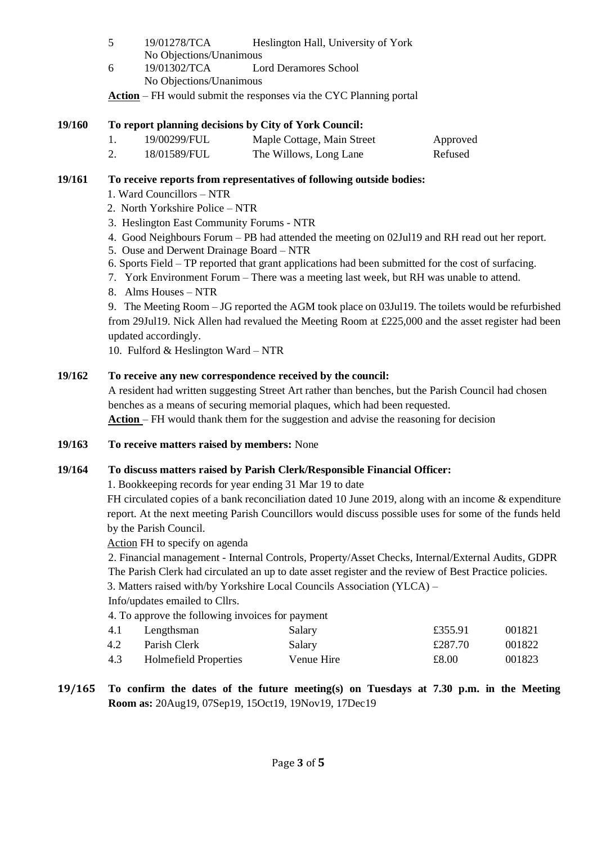- 5 19/01278/TCA Heslington Hall, University of York No Objections/Unanimous
- 6 19/01302/TCA Lord Deramores School No Objections/Unanimous

**Action** – FH would submit the responses via the CYC Planning portal

## **19/160 To report planning decisions by City of York Council:**

| 19/00299/FUL | Maple Cottage, Main Street | Approved |
|--------------|----------------------------|----------|
| 18/01589/FUL | The Willows, Long Lane     | Refused  |

## **19/161 To receive reports from representatives of following outside bodies:**

- 1. Ward Councillors NTR
- 2. North Yorkshire Police NTR
- 3. Heslington East Community Forums NTR
- 4. Good Neighbours Forum PB had attended the meeting on 02Jul19 and RH read out her report.
- 5. Ouse and Derwent Drainage Board NTR
- 6. Sports Field TP reported that grant applications had been submitted for the cost of surfacing.
- 7. York Environment Forum There was a meeting last week, but RH was unable to attend.
- 8. Alms Houses NTR

9. The Meeting Room – JG reported the AGM took place on 03Jul19. The toilets would be refurbished from 29Jul19. Nick Allen had revalued the Meeting Room at £225,000 and the asset register had been updated accordingly.

10. Fulford & Heslington Ward – NTR

## **19/162 To receive any new correspondence received by the council:**

A resident had written suggesting Street Art rather than benches, but the Parish Council had chosen benches as a means of securing memorial plaques, which had been requested.

**Action** – FH would thank them for the suggestion and advise the reasoning for decision

**19/163 To receive matters raised by members:** None

# **19/164 To discuss matters raised by Parish Clerk/Responsible Financial Officer:**

1. Bookkeeping records for year ending 31 Mar 19 to date

FH circulated copies of a bank reconciliation dated 10 June 2019, along with an income & expenditure report. At the next meeting Parish Councillors would discuss possible uses for some of the funds held by the Parish Council.

Action FH to specify on agenda

2. Financial management - Internal Controls, Property/Asset Checks, Internal/External Audits, GDPR The Parish Clerk had circulated an up to date asset register and the review of Best Practice policies.

3. Matters raised with/by Yorkshire Local Councils Association (YLCA) –

Info/updates emailed to Cllrs.

4. To approve the following invoices for payment

| 4.1 | Lengthsman            | Salary     | £355.91 | 001821 |
|-----|-----------------------|------------|---------|--------|
| 4.2 | Parish Clerk          | Salary     | £287.70 | 001822 |
| 4.3 | Holmefield Properties | Venue Hire | £8.00   | 001823 |
|     |                       |            |         |        |

# **19/165 To confirm the dates of the future meeting(s) on Tuesdays at 7.30 p.m. in the Meeting Room as:** 20Aug19, 07Sep19, 15Oct19, 19Nov19, 17Dec19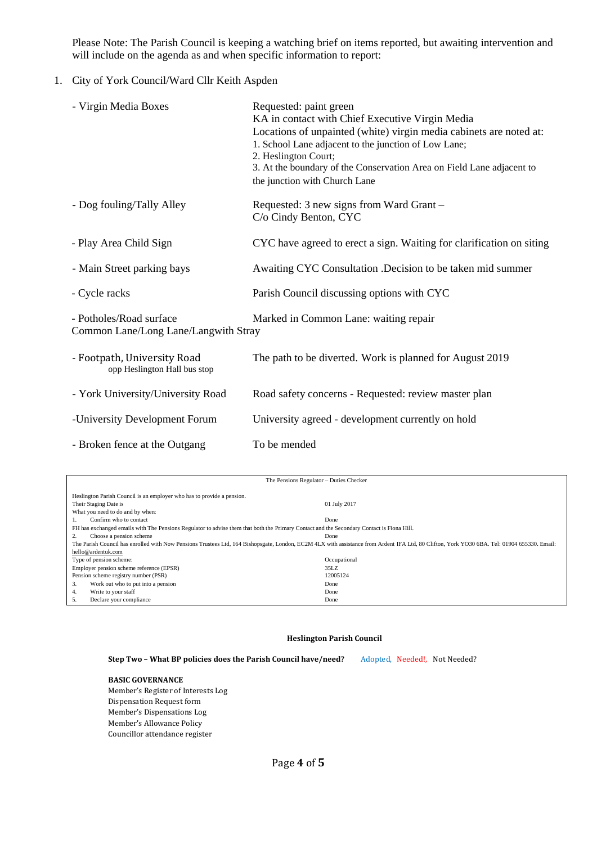Please Note: The Parish Council is keeping a watching brief on items reported, but awaiting intervention and will include on the agenda as and when specific information to report:

### 1. City of York Council/Ward Cllr Keith Aspden

| - Virgin Media Boxes                                            | Requested: paint green<br>KA in contact with Chief Executive Virgin Media<br>Locations of unpainted (white) virgin media cabinets are noted at:<br>1. School Lane adjacent to the junction of Low Lane;<br>2. Heslington Court;<br>3. At the boundary of the Conservation Area on Field Lane adjacent to<br>the junction with Church Lane |
|-----------------------------------------------------------------|-------------------------------------------------------------------------------------------------------------------------------------------------------------------------------------------------------------------------------------------------------------------------------------------------------------------------------------------|
| - Dog fouling/Tally Alley                                       | Requested: 3 new signs from Ward Grant -<br>C/o Cindy Benton, CYC                                                                                                                                                                                                                                                                         |
| - Play Area Child Sign                                          | CYC have agreed to erect a sign. Waiting for clarification on siting                                                                                                                                                                                                                                                                      |
| - Main Street parking bays                                      | Awaiting CYC Consultation .Decision to be taken mid summer                                                                                                                                                                                                                                                                                |
| - Cycle racks                                                   | Parish Council discussing options with CYC                                                                                                                                                                                                                                                                                                |
| - Potholes/Road surface<br>Common Lane/Long Lane/Langwith Stray | Marked in Common Lane: waiting repair                                                                                                                                                                                                                                                                                                     |
| - Footpath, University Road<br>opp Heslington Hall bus stop     | The path to be diverted. Work is planned for August 2019                                                                                                                                                                                                                                                                                  |
| - York University/University Road                               | Road safety concerns - Requested: review master plan                                                                                                                                                                                                                                                                                      |
| -University Development Forum                                   | University agreed - development currently on hold                                                                                                                                                                                                                                                                                         |
| - Broken fence at the Outgang                                   | To be mended                                                                                                                                                                                                                                                                                                                              |

| The Pensions Regulator - Duties Checker                                                                                                                                                     |              |  |  |
|---------------------------------------------------------------------------------------------------------------------------------------------------------------------------------------------|--------------|--|--|
| Heslington Parish Council is an employer who has to provide a pension.                                                                                                                      |              |  |  |
| Their Staging Date is                                                                                                                                                                       | 01 July 2017 |  |  |
| What you need to do and by when:                                                                                                                                                            |              |  |  |
| Confirm who to contact                                                                                                                                                                      | Done         |  |  |
| FH has exchanged emails with The Pensions Regulator to advise them that both the Primary Contact and the Secondary Contact is Fiona Hill.                                                   |              |  |  |
| Choose a pension scheme<br>2.                                                                                                                                                               | Done         |  |  |
| The Parish Council has enrolled with Now Pensions Trustees Ltd, 164 Bishopsgate, London, EC2M 4LX with assistance from Ardent IFA Ltd, 80 Clifton, York YO30 6BA. Tel: 01904 655330. Email: |              |  |  |
| hello@ardentuk.com                                                                                                                                                                          |              |  |  |
| Type of pension scheme:                                                                                                                                                                     | Occupational |  |  |
| Employer pension scheme reference (EPSR)                                                                                                                                                    | 35LZ         |  |  |
| Pension scheme registry number (PSR)                                                                                                                                                        | 12005124     |  |  |
| Work out who to put into a pension<br>3.                                                                                                                                                    | Done         |  |  |
| Write to your staff<br>4.                                                                                                                                                                   | Done         |  |  |
| Declare your compliance<br>5.                                                                                                                                                               | Done         |  |  |

### **Heslington Parish Council**

Step Two - What BP policies does the Parish Council have/need? Adopted, Needed!, Not Needed?

### **BASIC GOVERNANCE**

Member's Register of Interests Log Dispensation Request form Member's Dispensations Log Member's Allowance Policy Councillor attendance register